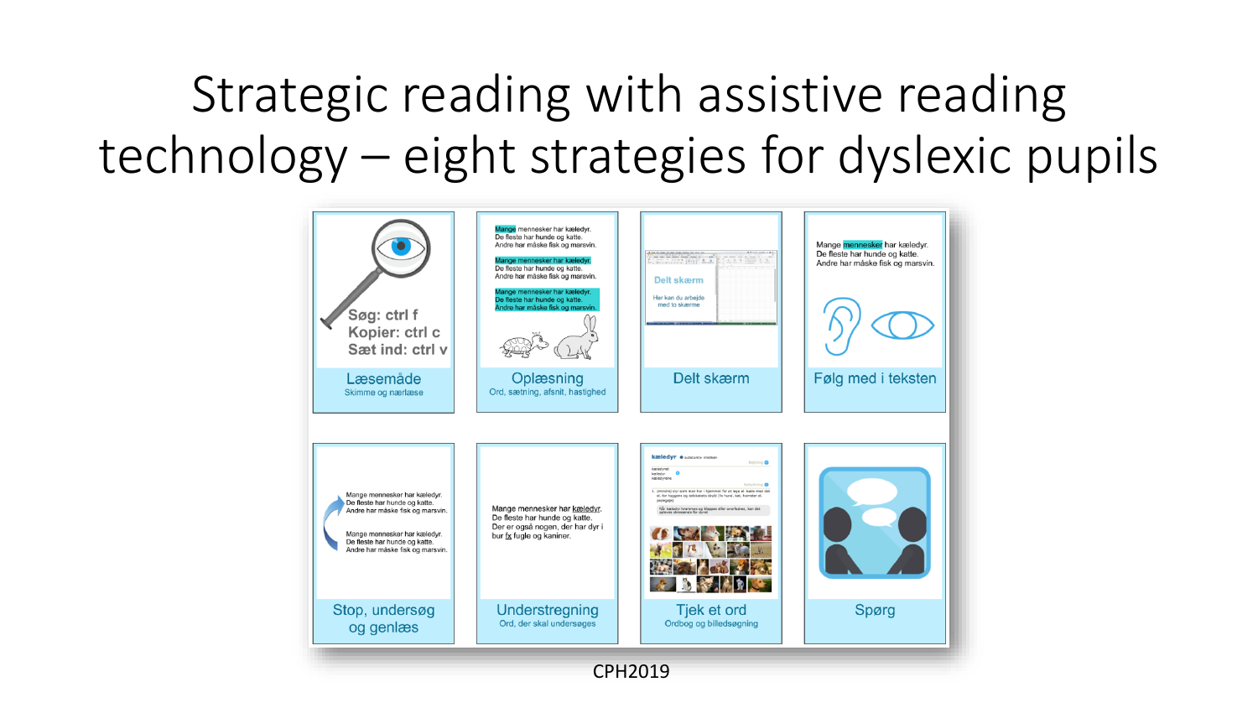## Strategic reading with assistive reading technology – eight strategies for dyslexic pupils

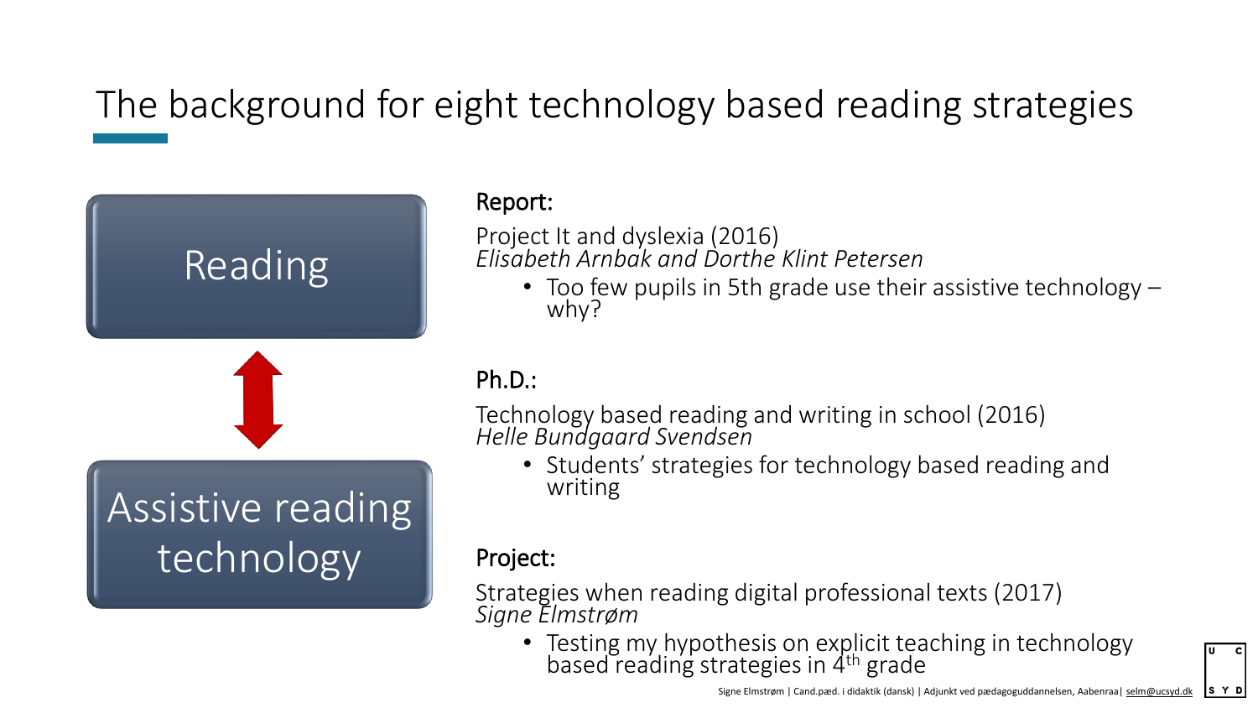### The background for eight technology based reading strategies



#### Report:

Project It and dyslexia (2016) *Elisabeth Arnbak and Dorthe Klint Petersen*

• Too few pupils in 5th grade use their assistive technology – why?

#### Ph.D.:

Technology based reading and writing in school (2016) *Helle Bundgaard Svendsen*

• Students' strategies for technology based reading and writing

#### Project:

Strategies when reading digital professional texts (2017) *Signe Elmstrøm*

• Testing my hypothesis on explicit teaching in technology based reading strategies in 4<sup>th</sup> grade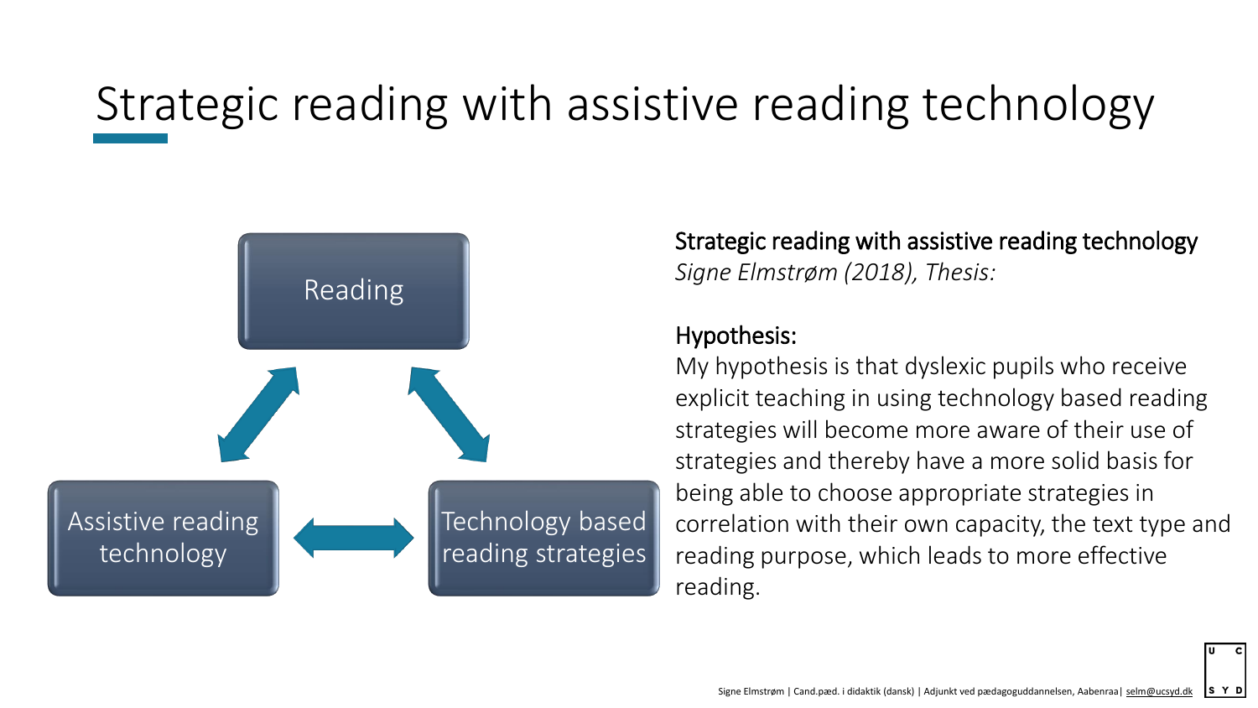### Strategic reading with assistive reading technology



Strategic reading with assistive reading technology *Signe Elmstrøm (2018), Thesis:*

#### Hypothesis:

My hypothesis is that dyslexic pupils who receive explicit teaching in using technology based reading strategies will become more aware of their use of strategies and thereby have a more solid basis for being able to choose appropriate strategies in correlation with their own capacity, the text type and reading purpose, which leads to more effective reading.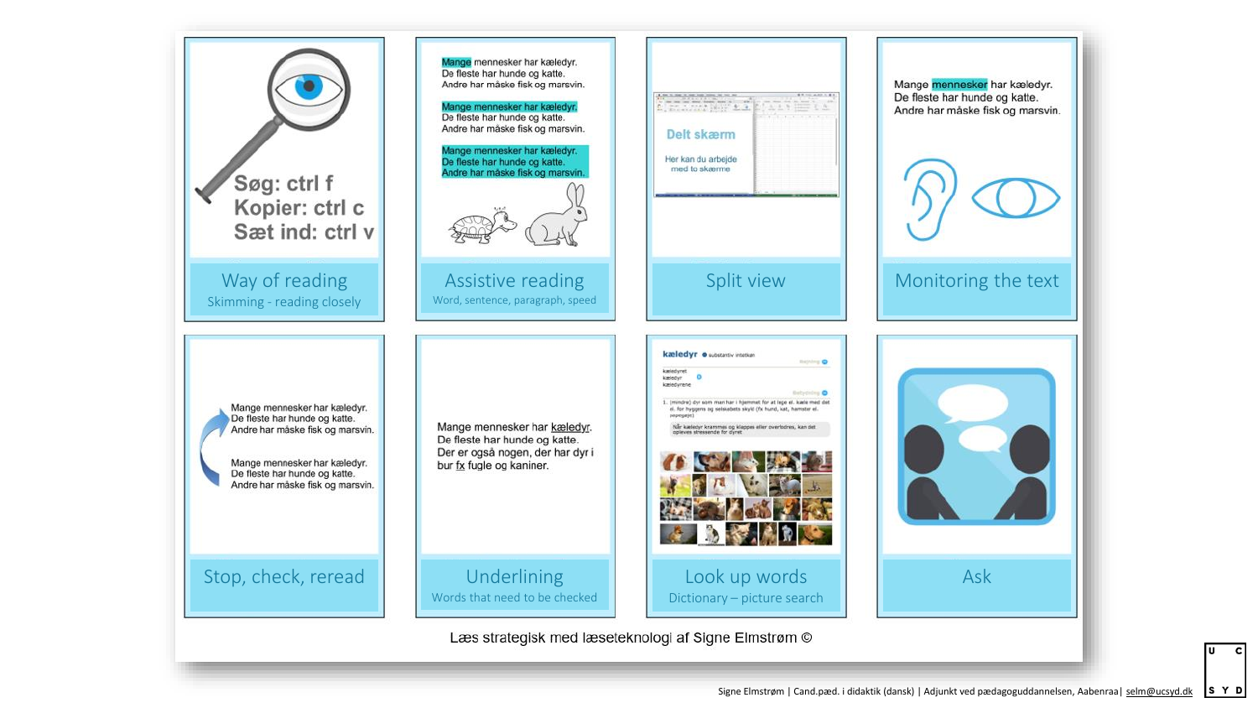

S Y D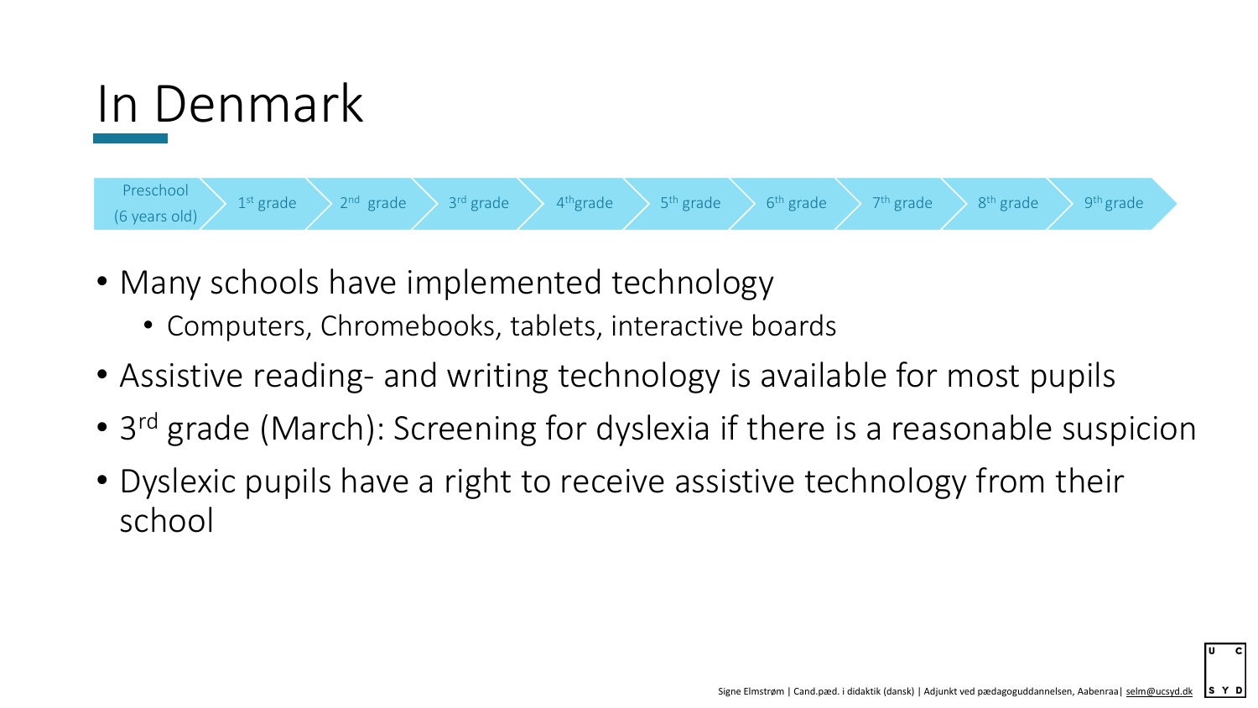



- Many schools have implemented technology
	- Computers, Chromebooks, tablets, interactive boards
- Assistive reading- and writing technology is available for most pupils
- 3<sup>rd</sup> grade (March): Screening for dyslexia if there is a reasonable suspicion
- Dyslexic pupils have a right to receive assistive technology from their school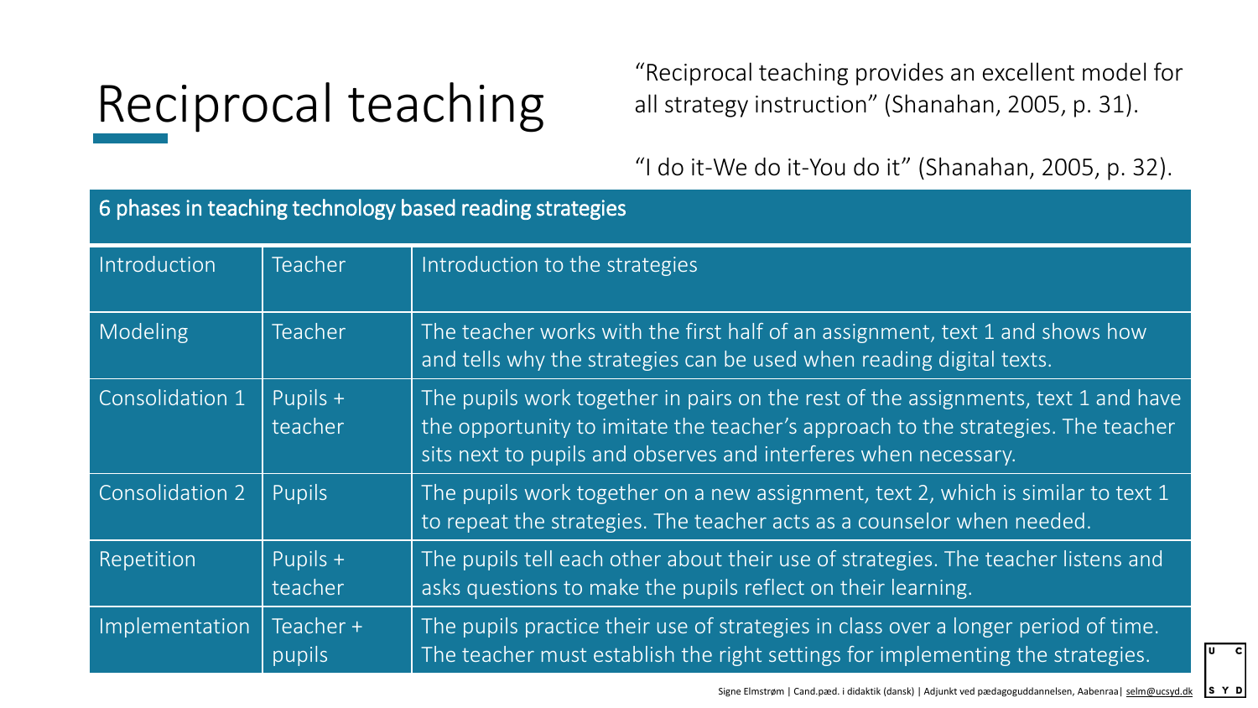# Reciprocal teaching

"Reciprocal teaching provides an excellent model for all strategy instruction" (Shanahan, 2005, p. 31).

"I do it-We do it-You do it" (Shanahan, 2005, p. 32).

| 6 phases in teaching technology based reading strategies |                     |                                                                                                                                                                                                                                          |  |  |
|----------------------------------------------------------|---------------------|------------------------------------------------------------------------------------------------------------------------------------------------------------------------------------------------------------------------------------------|--|--|
| Introduction                                             | Teacher             | Introduction to the strategies                                                                                                                                                                                                           |  |  |
| Modeling                                                 | Teacher             | The teacher works with the first half of an assignment, text 1 and shows how<br>and tells why the strategies can be used when reading digital texts.                                                                                     |  |  |
| Consolidation 1                                          | Pupils +<br>teacher | The pupils work together in pairs on the rest of the assignments, text 1 and have<br>the opportunity to imitate the teacher's approach to the strategies. The teacher<br>sits next to pupils and observes and interferes when necessary. |  |  |
| Consolidation 2                                          | Pupils              | The pupils work together on a new assignment, text 2, which is similar to text 1<br>to repeat the strategies. The teacher acts as a counselor when needed.                                                                               |  |  |
| Repetition                                               | Pupils +<br>teacher | The pupils tell each other about their use of strategies. The teacher listens and<br>asks questions to make the pupils reflect on their learning.                                                                                        |  |  |
| Implementation                                           | Teacher +<br>pupils | The pupils practice their use of strategies in class over a longer period of time.<br>The teacher must establish the right settings for implementing the strategies.                                                                     |  |  |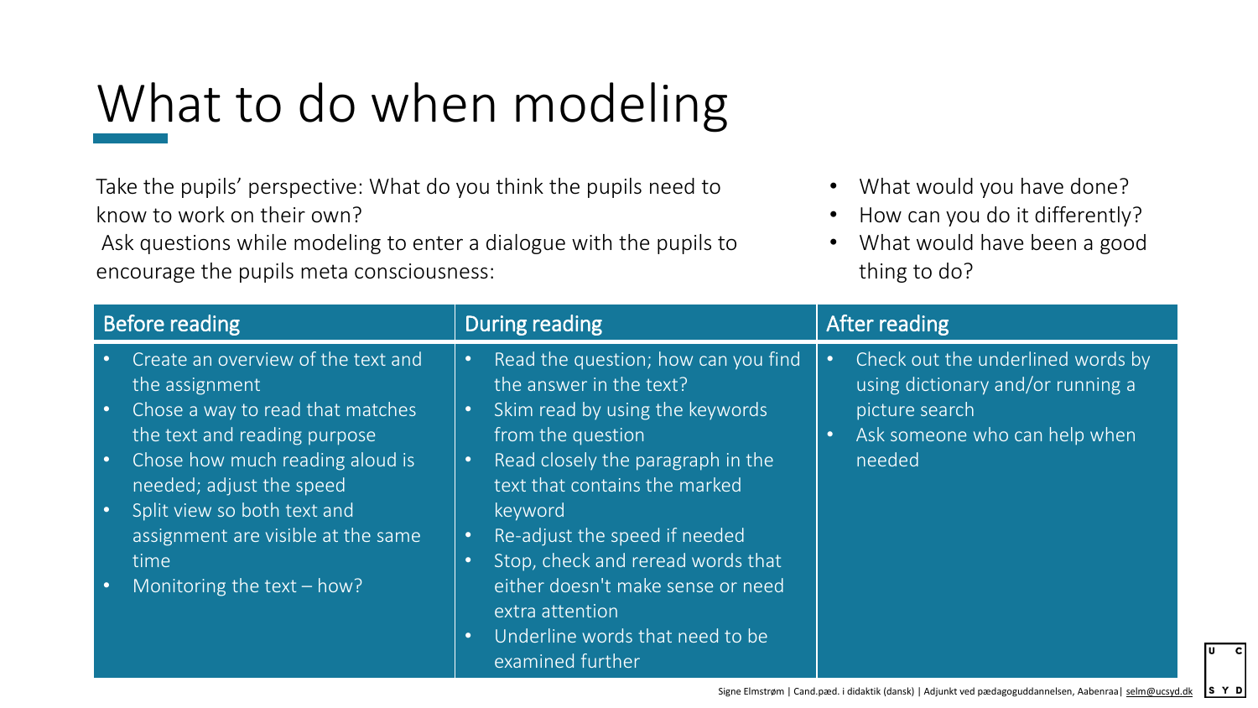# What to do when modeling

Take the pupils' perspective: What do you think the pupils need to know to work on their own?

Ask questions while modeling to enter a dialogue with the pupils to encourage the pupils meta consciousness:

• What would you have done?

- How can you do it differently?
- What would have been a good thing to do?

| Before reading                                                                         | During reading                                                                                                           | After reading                                                          |
|----------------------------------------------------------------------------------------|--------------------------------------------------------------------------------------------------------------------------|------------------------------------------------------------------------|
| Create an overview of the text and<br>$\bullet$<br>the assignment                      | Read the question; how can you find<br>$\bullet$<br>the answer in the text?                                              | Check out the underlined words by<br>using dictionary and/or running a |
| Chose a way to read that matches<br>$\bullet$<br>the text and reading purpose          | Skim read by using the keywords<br>$\bullet$ .<br>from the question                                                      | picture search<br>Ask someone who can help when                        |
| Chose how much reading aloud is<br>$\bullet$<br>needed; adjust the speed               | Read closely the paragraph in the<br>$\bullet$<br>text that contains the marked                                          | needed                                                                 |
| Split view so both text and<br>$\bullet$<br>assignment are visible at the same<br>time | keyword<br>Re-adjust the speed if needed<br>$\bullet$<br>Stop, check and reread words that                               |                                                                        |
| Monitoring the text - how?                                                             | either doesn't make sense or need<br>extra attention<br>Underline words that need to be<br>$\bullet$<br>examined further |                                                                        |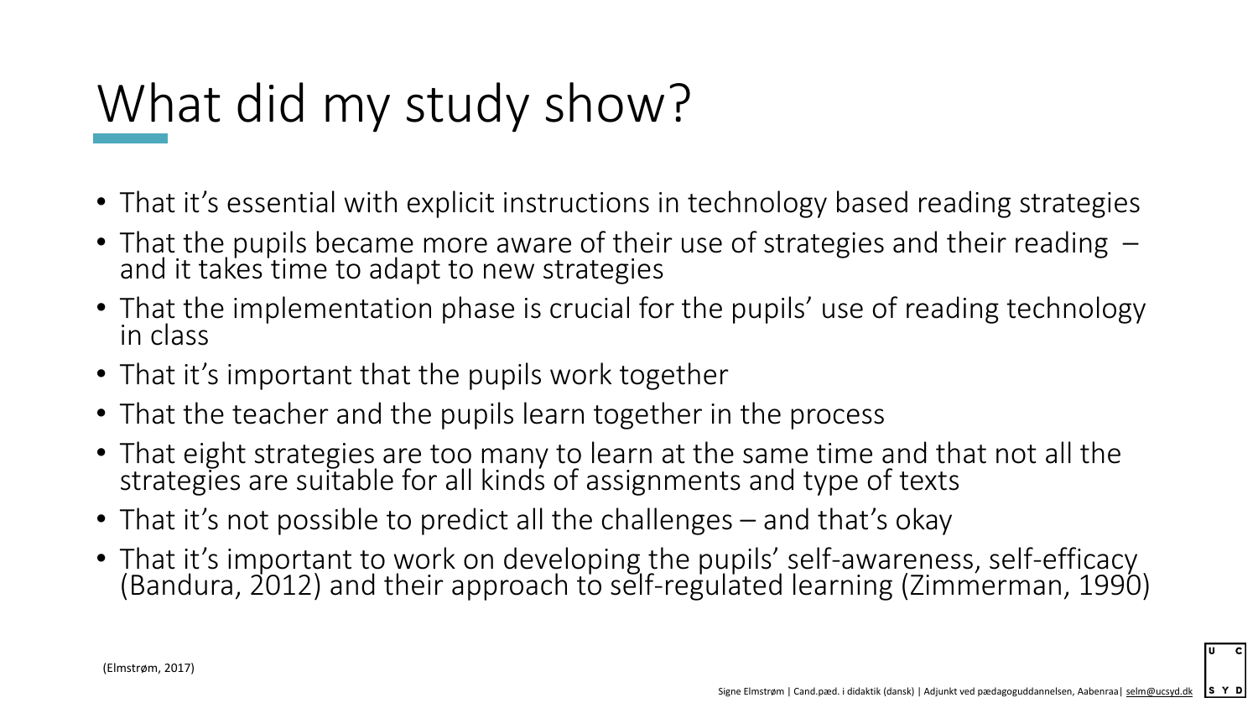## What did my study show?

- That it's essential with explicit instructions in technology based reading strategies
- That the pupils became more aware of their use of strategies and their reading and it takes time to adapt to new strategies
- That the implementation phase is crucial for the pupils' use of reading technology in class
- That it's important that the pupils work together
- That the teacher and the pupils learn together in the process
- That eight strategies are too many to learn at the same time and that not all the strategies are suitable for all kinds of assignments and type of texts
- That it's not possible to predict all the challenges and that's okay
- That it's important to work on developing the pupils' self-awareness, self-efficacy (Bandura, 2012) and their approach to self-regulated learning (Zimmerman, 1990)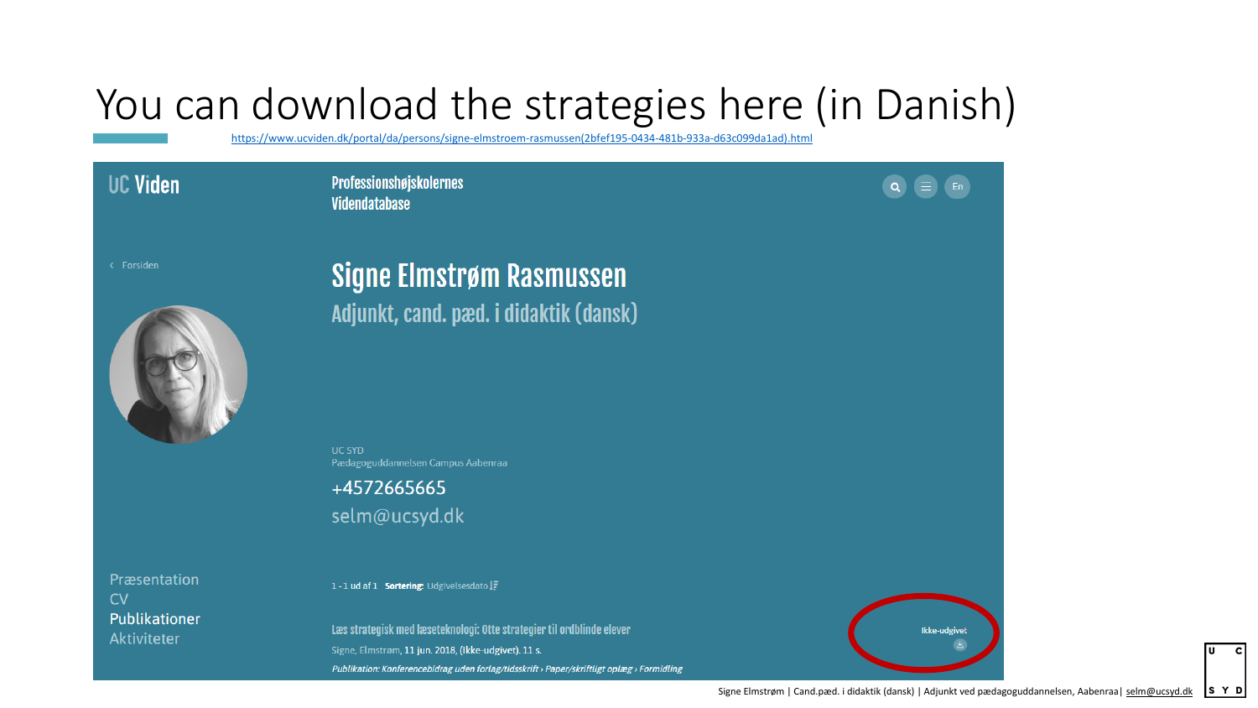### You can download the strategies here (in Danish)

[https://www.ucviden.dk/portal/da/persons/signe-elmstroem-rasmussen\(2bfef195-0434-481b-933a-d63c099da1ad\).html](https://www.ucviden.dk/portal/da/persons/signe-elmstroem-rasmussen(2bfef195-0434-481b-933a-d63c099da1ad).html)

| Viden   | Professionshøjskolernes<br>Videndatabase |  |
|---------|------------------------------------------|--|
| orsiden | Signe Elmstrøm Rasmussen                 |  |
|         | Adjunkt, cand. pæd. i didaktik (dansk)   |  |

**UC SYD** Pædagoguddannelsen Campus Aabenraa

+4572665665 selm@ucsyd.dk

Præsentation  $CV$ Publikationer Aktiviteter

Ul

1-1 ud af 1 Sortering: Udgivelsesdato IF

Læs strategisk med læseteknologi: Otte strategier til ordblinde elever Signe, Elmstrøm, 11 jun. 2018, (Ikke-udgivet). 11 s. Publikation: Konferencebidrag uden forlag/tidsskrift > Paper/skriftligt oplæg > Formidling



 $\equiv$ 

 $\alpha$ 

 $En$